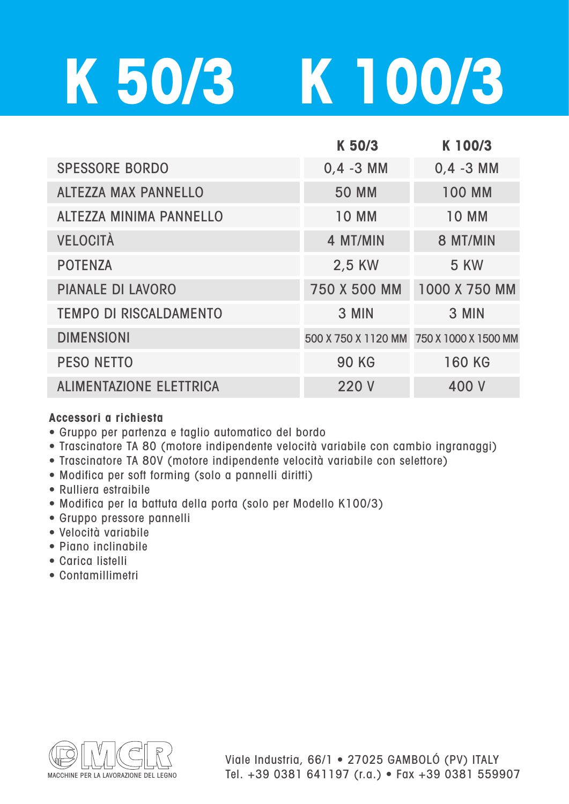## **K 50/3 K 100/3**

|                                | K 50/3                                   | K 100/3       |
|--------------------------------|------------------------------------------|---------------|
| <b>SPESSORE BORDO</b>          | $0.4 - 3$ MM                             | $0,4 - 3$ MM  |
| <b>ALTEZZA MAX PANNELLO</b>    | <b>50 MM</b>                             | <b>100 MM</b> |
| <b>ALTEZZA MINIMA PANNELLO</b> | <b>10 MM</b>                             | <b>10 MM</b>  |
| <b>VELOCITÀ</b>                | 4 MT/MIN                                 | 8 MT/MIN      |
| <b>POTENZA</b>                 | 2,5 KW                                   | <b>5 KW</b>   |
| <b>PIANALE DI LAVORO</b>       | 750 X 500 MM                             | 1000 X 750 MM |
| <b>TEMPO DI RISCALDAMENTO</b>  | 3 MIN                                    | 3 MIN         |
| <b>DIMENSIONI</b>              | 500 X 750 X 1120 MM 750 X 1000 X 1500 MM |               |
| <b>PESO NETTO</b>              | <b>90 KG</b>                             | <b>160 KG</b> |
| <b>ALIMENTAZIONE ELETTRICA</b> | 220 V                                    | 400 V         |

## **Accessori a richiesta**

- Gruppo per partenza e taglio automatico del bordo
- Trascinatore TA 80 (motore indipendente velocità variabile con cambio ingranaggi)
- Trascinatore TA 80V (motore indipendente velocità variabile con selettore)
- Modifica per soft forming (solo a pannelli diritti)
- Rulliera estraibile
- Modifica per la battuta della porta (solo per Modello K100/3)
- Gruppo pressore pannelli
- Velocità variabile
- Piano inclinabile
- Carica listelli
- Contamillimetri